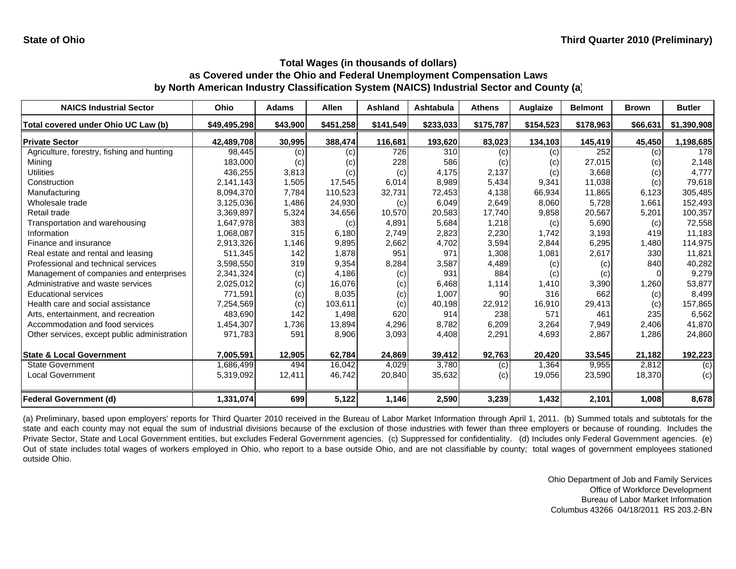| <b>NAICS Industrial Sector</b>               | Ohio         | <b>Adams</b> | <b>Allen</b> | Ashland   | Ashtabula | <b>Athens</b> | Auglaize  | <b>Belmont</b> | <b>Brown</b> | <b>Butler</b> |
|----------------------------------------------|--------------|--------------|--------------|-----------|-----------|---------------|-----------|----------------|--------------|---------------|
| Total covered under Ohio UC Law (b)          | \$49,495,298 | \$43,900     | \$451,258    | \$141,549 | \$233,033 | \$175,787     | \$154,523 | \$178,963      | \$66,631     | \$1,390,908   |
| <b>Private Sector</b>                        | 42,489,708   | 30,995       | 388,474      | 116,681   | 193,620   | 83,023        | 134,103   | 145,419        | 45,450       | 1,198,685     |
| Agriculture, forestry, fishing and hunting   | 98.445       | (c)          | (c)          | 726       | 310       | (c)           | (c)       | 252            | (c)          | 178           |
| Mining                                       | 183,000      | (c)          | (c)          | 228       | 586       | (c)           | (c)       | 27,015         | (c)          | 2,148         |
| <b>Utilities</b>                             | 436,255      | 3,813        | (c)          | (c)       | 4,175     | 2,137         | (c)       | 3,668          | (c)          | 4,777         |
| Construction                                 | 2,141,143    | 1,505        | 17,545       | 6,014     | 8,989     | 5,434         | 9,341     | 11,038         | (c)          | 79,618        |
| Manufacturing                                | 8,094,370    | 7,784        | 110,523      | 32,731    | 72,453    | 4,138         | 66,934    | 11,865         | 6,123        | 305,485       |
| Wholesale trade                              | 3,125,036    | 1,486        | 24,930       | (c)       | 6,049     | 2,649         | 8,060     | 5,728          | 1,661        | 152,493       |
| Retail trade                                 | 3,369,897    | 5,324        | 34,656       | 10,570    | 20,583    | 17,740        | 9,858     | 20,567         | 5,201        | 100,357       |
| Transportation and warehousing               | 1,647,978    | 383          | (c)          | 4,891     | 5,684     | 1,218         | (c)       | 5,690          | (c)          | 72,558        |
| Information                                  | 1,068,087    | 315          | 6,180        | 2,749     | 2,823     | 2,230         | 1,742     | 3,193          | 419          | 11,183        |
| Finance and insurance                        | 2,913,326    | 1,146        | 9,895        | 2,662     | 4,702     | 3,594         | 2,844     | 6,295          | 1,480        | 114,975       |
| Real estate and rental and leasing           | 511,345      | 142          | 1,878        | 951       | 971       | 1,308         | 1,081     | 2,617          | 330          | 11,821        |
| Professional and technical services          | 3,598,550    | 319          | 9,354        | 8,284     | 3,587     | 4,489         | (c)       | (c)            | 840          | 40,282        |
| Management of companies and enterprises      | 2,341,324    | (c)          | 4,186        | (c)       | 931       | 884           | (c)       | (c)            |              | 9,279         |
| Administrative and waste services            | 2,025,012    | (c)          | 16,076       | (c)       | 6,468     | 1,114         | 1,410     | 3,390          | 1,260        | 53,877        |
| <b>Educational services</b>                  | 771.591      | (c)          | 8,035        | (c)       | 1,007     | 90            | 316       | 662            | (c)          | 8,499         |
| Health care and social assistance            | 7,254,569    | (c)          | 103.611      | (c)       | 40,198    | 22,912        | 16,910    | 29,413         | (c)          | 157,865       |
| Arts, entertainment, and recreation          | 483,690      | 142          | 1,498        | 620       | 914       | 238           | 571       | 461            | 235          | 6,562         |
| Accommodation and food services              | 1,454,307    | 1,736        | 13,894       | 4,296     | 8,782     | 6,209         | 3,264     | 7,949          | 2,406        | 41,870        |
| Other services, except public administration | 971,783      | 591          | 8,906        | 3,093     | 4,408     | 2,291         | 4,693     | 2,867          | 1,286        | 24,860        |
| <b>State &amp; Local Government</b>          | 7,005,591    | 12,905       | 62,784       | 24,869    | 39,412    | 92,763        | 20,420    | 33,545         | 21,182       | 192,223       |
| <b>State Government</b>                      | 1,686,499    | 494          | 16,042       | 4,029     | 3,780     | (c)           | 1,364     | 9,955          | 2,812        | (c)           |
| <b>Local Government</b>                      | 5,319,092    | 12,411       | 46,742       | 20,840    | 35,632    | (c)           | 19,056    | 23,590         | 18,370       | (c)           |
| Federal Government (d)                       | 1,331,074    | 699          | 5,122        | 1,146     | 2,590     | 3,239         | 1,432     | 2,101          | 1,008        | 8,678         |

(a) Preliminary, based upon employers' reports for Third Quarter 2010 received in the Bureau of Labor Market Information through April 1, 2011. (b) Summed totals and subtotals for the state and each county may not equal the sum of industrial divisions because of the exclusion of those industries with fewer than three employers or because of rounding. Includes the Private Sector, State and Local Government entities, but excludes Federal Government agencies. (c) Suppressed for confidentiality. (d) Includes only Federal Government agencies. (e) Out of state includes total wages of workers employed in Ohio, who report to <sup>a</sup> base outside Ohio, and are not classifiable by county; total wages of government employees stationed outside Ohio.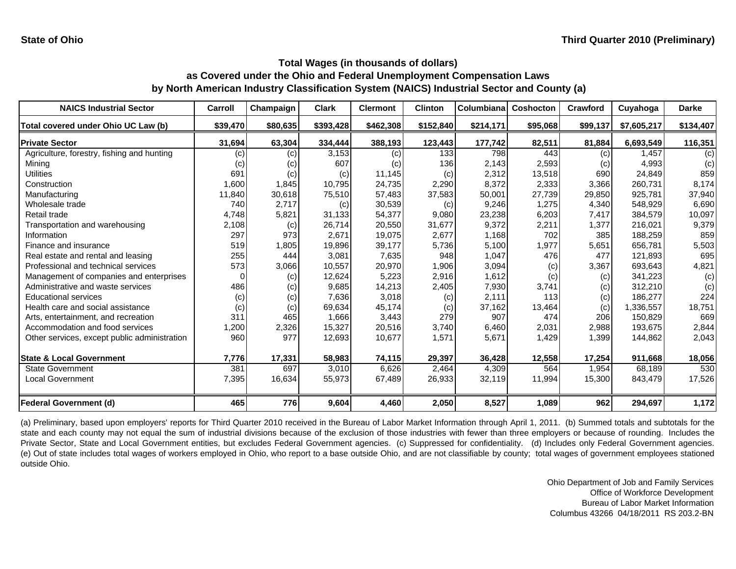| <b>NAICS Industrial Sector</b>               | Carroll           | Champaign | <b>Clark</b> | <b>Clermont</b> | <b>Clinton</b> | Columbiana | <b>Coshocton</b> | Crawford | Cuyahoga    | <b>Darke</b> |
|----------------------------------------------|-------------------|-----------|--------------|-----------------|----------------|------------|------------------|----------|-------------|--------------|
| Total covered under Ohio UC Law (b)          | \$39,470          | \$80,635  | \$393,428    | \$462,308       | \$152,840      | \$214,171  | \$95,068         | \$99,137 | \$7,605,217 | \$134,407    |
| <b>Private Sector</b>                        | 31,694            | 63,304    | 334,444      | 388,193         | 123,443        | 177,742    | 82,511           | 81,884   | 6,693,549   | 116,351      |
| Agriculture, forestry, fishing and hunting   | (c)               | (c)       | 3,153        | (c)             | 133            | 798        | 443              | (c)      | 1.457       | (c)          |
| Mining                                       | $\left( c\right)$ | (c)       | 607          | (c)             | 136            | 2,143      | 2,593            | (c)      | 4,993       | (c)          |
| Utilities                                    | 691               | (c)       | (c)          | 11,145          | (c)            | 2,312      | 13,518           | 690      | 24,849      | 859          |
| Construction                                 | 1,600             | 1,845     | 10,795       | 24,735          | 2,290          | 8,372      | 2,333            | 3,366    | 260.731     | 8,174        |
| Manufacturing                                | 11,840            | 30,618    | 75,510       | 57,483          | 37,583         | 50,001     | 27,739           | 29,850   | 925,781     | 37,940       |
| Wholesale trade                              | 740               | 2,717     | (c)          | 30,539          | (c)            | 9,246      | 1,275            | 4,340    | 548,929     | 6,690        |
| Retail trade                                 | 4,748             | 5,821     | 31,133       | 54,377          | 9,080          | 23,238     | 6,203            | 7,417    | 384,579     | 10,097       |
| Transportation and warehousing               | 2,108             | (c)       | 26,714       | 20,550          | 31,677         | 9,372      | 2,211            | 1,377    | 216,021     | 9,379        |
| Information                                  | 297               | 973       | 2.671        | 19,075          | 2,677          | 1,168      | 702              | 385      | 188.259     | 859          |
| Finance and insurance                        | 519               | 1,805     | 19,896       | 39,177          | 5,736          | 5,100      | 1,977            | 5,651    | 656,781     | 5,503        |
| Real estate and rental and leasing           | 255               | 444       | 3,081        | 7,635           | 948            | 1,047      | 476              | 477      | 121.893     | 695          |
| Professional and technical services          | 573               | 3,066     | 10,557       | 20,970          | 1,906          | 3,094      | (c)              | 3,367    | 693,643     | 4,821        |
| Management of companies and enterprises      | n                 | (c)       | 12,624       | 5,223           | 2,916          | 1,612      | (c)              | (c)      | 341,223     | (c)          |
| Administrative and waste services            | 486               | (c)       | 9,685        | 14,213          | 2,405          | 7,930      | 3,741            | (c)      | 312,210     | (c)          |
| <b>Educational services</b>                  | (c)               | (c)       | 7,636        | 3,018           | (c)            | 2,111      | 113              | (c)      | 186,277     | 224          |
| Health care and social assistance            | (c)               | (c)       | 69,634       | 45,174          | (c)            | 37,162     | 13,464           | (c)      | 336,557     | 18,751       |
| Arts, entertainment, and recreation          | 311               | 465       | 1,666        | 3,443           | 279            | 907        | 474              | 206      | 150,829     | 669          |
| Accommodation and food services              | 1,200             | 2,326     | 15,327       | 20,516          | 3,740          | 6,460      | 2,031            | 2,988    | 193,675     | 2,844        |
| Other services, except public administration | 960               | 977       | 12,693       | 10,677          | 1,571          | 5,671      | 1,429            | 1,399    | 144,862     | 2,043        |
| <b>State &amp; Local Government</b>          | 7,776             | 17,331    | 58,983       | 74,115          | 29,397         | 36,428     | 12,558           | 17,254   | 911,668     | 18,056       |
| <b>State Government</b>                      | 381               | 697       | 3,010        | 6,626           | 2,464          | 4,309      | 564              | 1,954    | 68,189      | 530          |
| <b>Local Government</b>                      | 7,395             | 16,634    | 55,973       | 67,489          | 26,933         | 32,119     | 11,994           | 15,300   | 843,479     | 17,526       |
| <b>Federal Government (d)</b>                | 465               | 776       | 9,604        | 4,460           | 2,050          | 8,527      | 1,089            | 962      | 294,697     | 1,172        |

(a) Preliminary, based upon employers' reports for Third Quarter 2010 received in the Bureau of Labor Market Information through April 1, 2011. (b) Summed totals and subtotals for the state and each county may not equal the sum of industrial divisions because of the exclusion of those industries with fewer than three employers or because of rounding. Includes the Private Sector, State and Local Government entities, but excludes Federal Government agencies. (c) Suppressed for confidentiality. (d) Includes only Federal Government agencies. (e) Out of state includes total wages of workers employed in Ohio, who report to <sup>a</sup> base outside Ohio, and are not classifiable by county; total wages of government employees stationed outside Ohio.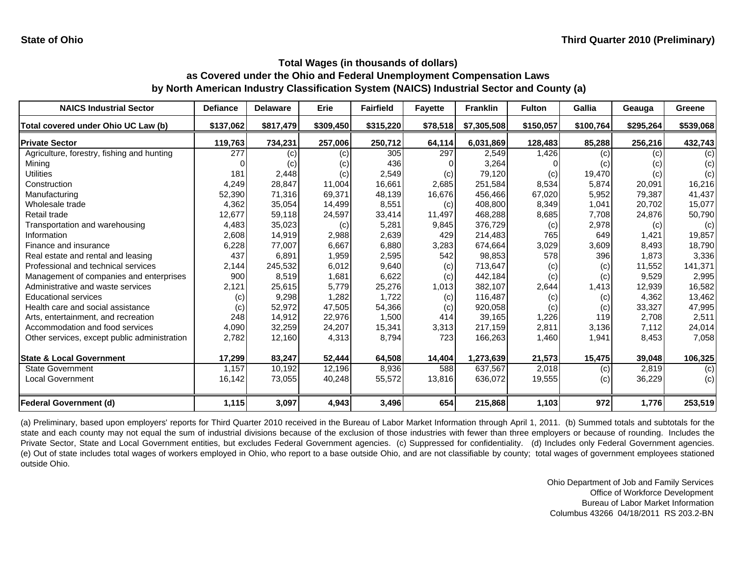| <b>NAICS Industrial Sector</b>               | <b>Defiance</b> | <b>Delaware</b> | Erie      | <b>Fairfield</b> | <b>Fayette</b> | <b>Franklin</b> | <b>Fulton</b> | Gallia    | Geauga    | Greene    |
|----------------------------------------------|-----------------|-----------------|-----------|------------------|----------------|-----------------|---------------|-----------|-----------|-----------|
| Total covered under Ohio UC Law (b)          | \$137,062       | \$817,479       | \$309,450 | \$315,220        | \$78,518       | \$7,305,508     | \$150,057     | \$100,764 | \$295,264 | \$539,068 |
| <b>Private Sector</b>                        | 119,763         | 734,231         | 257,006   | 250,712          | 64,114         | 6,031,869       | 128,483       | 85,288    | 256,216   | 432,743   |
| Agriculture, forestry, fishing and hunting   | 277             | (c)             | (c)       | 305              | 297            | 2,549           | 1,426         | (c)       | (c)       | (c)       |
| Mining                                       |                 | (c)             | (c)       | 436              |                | 3,264           |               | (c)       | (c)       | (c)       |
| Utilities                                    | 181             | 2,448           | (c)       | 2,549            | (c)            | 79,120          | (c)           | 19,470    | (c)       | (c)       |
| Construction                                 | 4,249           | 28,847          | 11,004    | 16,661           | 2,685          | 251,584         | 8,534         | 5,874     | 20,091    | 16,216    |
| Manufacturing                                | 52,390          | 71,316          | 69,371    | 48,139           | 16,676         | 456,466         | 67,020        | 5,952     | 79,387    | 41,437    |
| Wholesale trade                              | 4,362           | 35,054          | 14,499    | 8,551            | (c)            | 408,800         | 8,349         | 1,041     | 20,702    | 15,077    |
| Retail trade                                 | 12,677          | 59,118          | 24,597    | 33,414           | 11,497         | 468,288         | 8,685         | 7,708     | 24,876    | 50,790    |
| Transportation and warehousing               | 4,483           | 35,023          | (c)       | 5,281            | 9,845          | 376,729         | (c)           | 2,978     | (c)       | (c)       |
| Information                                  | 2,608           | 14,919          | 2,988     | 2,639            | 429            | 214,483         | 765           | 649       | 1,421     | 19,857    |
| Finance and insurance                        | 6,228           | 77,007          | 6,667     | 6,880            | 3,283          | 674,664         | 3,029         | 3,609     | 8,493     | 18,790    |
| Real estate and rental and leasing           | 437             | 6,891           | 1,959     | 2,595            | 542            | 98,853          | 578           | 396       | 1.873     | 3,336     |
| Professional and technical services          | 2,144           | 245,532         | 6,012     | 9,640            | (c)            | 713,647         | (c)           | (c)       | 11,552    | 141,371   |
| Management of companies and enterprises      | 900             | 8,519           | 1,681     | 6,622            | (c)            | 442,184         | (c)           | (c)       | 9,529     | 2,995     |
| Administrative and waste services            | 2,121           | 25,615          | 5,779     | 25,276           | 1,013          | 382,107         | 2,644         | 1,413     | 12,939    | 16,582    |
| <b>Educational services</b>                  | (c)             | 9,298           | 1,282     | 1,722            | (c)            | 116,487         | (c)           | (c)       | 4,362     | 13,462    |
| Health care and social assistance            | (c)             | 52,972          | 47,505    | 54,366           | (c)            | 920,058         | (c)           | (c)       | 33,327    | 47,995    |
| Arts, entertainment, and recreation          | 248             | 14,912          | 22,976    | 1,500            | 414            | 39,165          | 1,226         | 119       | 2.708     | 2,511     |
| Accommodation and food services              | 4,090           | 32,259          | 24,207    | 15,341           | 3,313          | 217,159         | 2,811         | 3,136     | 7,112     | 24,014    |
| Other services, except public administration | 2,782           | 12,160          | 4,313     | 8,794            | 723            | 166,263         | 1,460         | 1,941     | 8,453     | 7,058     |
| <b>State &amp; Local Government</b>          | 17,299          | 83,247          | 52,444    | 64,508           | 14,404         | 1,273,639       | 21,573        | 15,475    | 39,048    | 106,325   |
| <b>State Government</b>                      | 1,157           | 10,192          | 12,196    | 8,936            | 588            | 637,567         | 2,018         | (c)       | 2,819     | (c)       |
| <b>Local Government</b>                      | 16,142          | 73,055          | 40,248    | 55,572           | 13,816         | 636,072         | 19,555        | (c)       | 36,229    | (c)       |
| <b>Federal Government (d)</b>                | 1,115           | 3,097           | 4,943     | 3,496            | 654            | 215,868         | 1,103         | 972       | 1,776     | 253,519   |

(a) Preliminary, based upon employers' reports for Third Quarter 2010 received in the Bureau of Labor Market Information through April 1, 2011. (b) Summed totals and subtotals for the state and each county may not equal the sum of industrial divisions because of the exclusion of those industries with fewer than three employers or because of rounding. Includes the Private Sector, State and Local Government entities, but excludes Federal Government agencies. (c) Suppressed for confidentiality. (d) Includes only Federal Government agencies. (e) Out of state includes total wages of workers employed in Ohio, who report to <sup>a</sup> base outside Ohio, and are not classifiable by county; total wages of government employees stationed outside Ohio.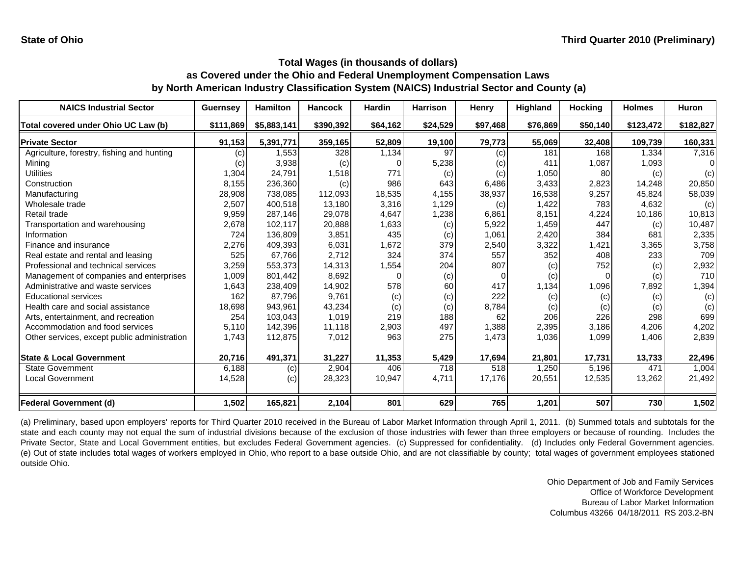| <b>NAICS Industrial Sector</b>               | <b>Guernsey</b> | <b>Hamilton</b> | <b>Hancock</b> | <b>Hardin</b> | <b>Harrison</b> | Henry    | <b>Highland</b> | <b>Hocking</b> | <b>Holmes</b> | <b>Huron</b> |
|----------------------------------------------|-----------------|-----------------|----------------|---------------|-----------------|----------|-----------------|----------------|---------------|--------------|
| Total covered under Ohio UC Law (b)          | \$111,869       | \$5,883,141     | \$390,392      | \$64,162      | \$24,529        | \$97,468 | \$76,869        | \$50,140       | \$123,472     | \$182,827    |
| <b>Private Sector</b>                        | 91,153          | 5,391,771       | 359,165        | 52,809        | 19,100          | 79,773   | 55,069          | 32,408         | 109,739       | 160,331      |
| Agriculture, forestry, fishing and hunting   | (c)             | 1,553           | 328            | 1,134         | 97              | (c)      | 181             | 168            | 1,334         | 7,316        |
| Mining                                       | (c)             | 3,938           | (c)            |               | 5,238           | (c)      | 411             | 1,087          | 1,093         | ∩            |
| <b>Utilities</b>                             | 1,304           | 24,791          | 1,518          | 771           | (c)             | (c)      | 1,050           | 80             | (c)           | (c)          |
| Construction                                 | 8,155           | 236,360         | (c)            | 986           | 643             | 6,486    | 3,433           | 2,823          | 14,248        | 20,850       |
| Manufacturing                                | 28,908          | 738,085         | 112,093        | 18,535        | 4,155           | 38,937   | 16,538          | 9,257          | 45.824        | 58,039       |
| Wholesale trade                              | 2,507           | 400,518         | 13,180         | 3,316         | 1,129           | (c)      | 1,422           | 783            | 4,632         | (c)          |
| Retail trade                                 | 9,959           | 287,146         | 29,078         | 4,647         | 1,238           | 6,861    | 8,151           | 4,224          | 10,186        | 10,813       |
| Transportation and warehousing               | 2,678           | 102,117         | 20,888         | 1,633         | (c)             | 5,922    | 1,459           | 447            | (c)           | 10,487       |
| Information                                  | 724             | 136,809         | 3,851          | 435           | (c)             | 1,061    | 2,420           | 384            | 681           | 2,335        |
| Finance and insurance                        | 2,276           | 409,393         | 6,031          | 1,672         | 379             | 2,540    | 3,322           | 1,421          | 3,365         | 3,758        |
| Real estate and rental and leasing           | 525             | 67,766          | 2,712          | 324           | 374             | 557      | 352             | 408            | 233           | 709          |
| Professional and technical services          | 3,259           | 553,373         | 14,313         | 1,554         | 204             | 807      | (c)             | 752            | (c)           | 2,932        |
| Management of companies and enterprises      | 1,009           | 801,442         | 8,692          | C             | (c)             |          | (c)             | 0              | (c)           | 710          |
| Administrative and waste services            | 1,643           | 238,409         | 14,902         | 578           | 60              | 417      | 1,134           | 1,096          | 7,892         | 1,394        |
| <b>Educational services</b>                  | 162             | 87,796          | 9,761          | (c)           | (c)             | 222      | (c)             | (c)            | (c)           | (c)          |
| Health care and social assistance            | 18,698          | 943,961         | 43,234         | (c)           | (c)             | 8,784    | (c)             | (c)            | (c)           | (c)          |
| Arts, entertainment, and recreation          | 254             | 103,043         | 1,019          | 219           | 188             | 62       | 206             | 226            | 298           | 699          |
| Accommodation and food services              | 5,110           | 142,396         | 11,118         | 2,903         | 497             | 1,388    | 2,395           | 3,186          | 4,206         | 4,202        |
| Other services, except public administration | 1,743           | 112,875         | 7,012          | 963           | 275             | 1,473    | 1,036           | 1,099          | 1,406         | 2,839        |
| <b>State &amp; Local Government</b>          | 20,716          | 491,371         | 31,227         | 11,353        | 5,429           | 17,694   | 21,801          | 17,731         | 13,733        | 22,496       |
| <b>State Government</b>                      | 6,188           | (c)             | 2,904          | 406           | 718             | 518      | 1,250           | 5,196          | 471           | 1,004        |
| <b>Local Government</b>                      | 14,528          | (c)             | 28,323         | 10,947        | 4,711           | 17,176   | 20,551          | 12,535         | 13,262        | 21,492       |
| <b>Federal Government (d)</b>                | 1,502           | 165,821         | 2,104          | 801           | 629             | 765      | 1,201           | 507            | 730           | 1,502        |

(a) Preliminary, based upon employers' reports for Third Quarter 2010 received in the Bureau of Labor Market Information through April 1, 2011. (b) Summed totals and subtotals for the state and each county may not equal the sum of industrial divisions because of the exclusion of those industries with fewer than three employers or because of rounding. Includes the Private Sector, State and Local Government entities, but excludes Federal Government agencies. (c) Suppressed for confidentiality. (d) Includes only Federal Government agencies. (e) Out of state includes total wages of workers employed in Ohio, who report to <sup>a</sup> base outside Ohio, and are not classifiable by county; total wages of government employees stationed outside Ohio.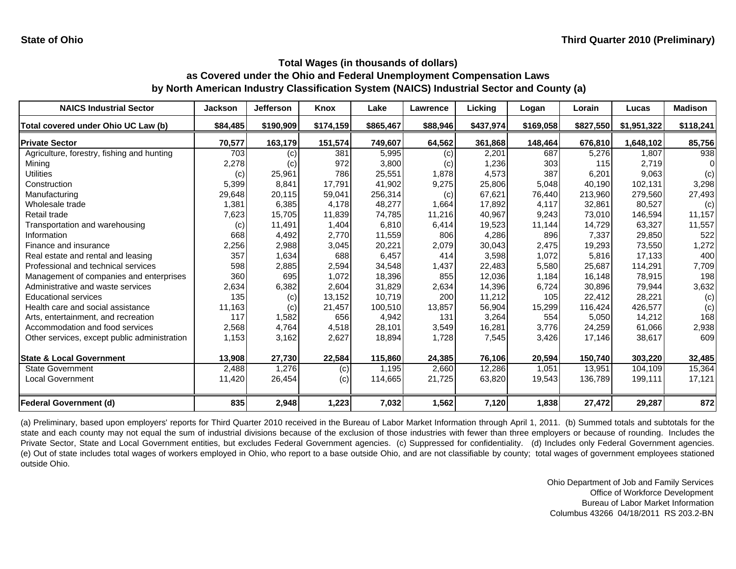| <b>NAICS Industrial Sector</b>               | <b>Jackson</b> | Jefferson | Knox      | Lake      | Lawrence | Licking   | Logan     | Lorain    | Lucas       | <b>Madison</b> |
|----------------------------------------------|----------------|-----------|-----------|-----------|----------|-----------|-----------|-----------|-------------|----------------|
| Total covered under Ohio UC Law (b)          | \$84,485       | \$190,909 | \$174,159 | \$865,467 | \$88,946 | \$437,974 | \$169,058 | \$827,550 | \$1,951,322 | \$118,241      |
| <b>Private Sector</b>                        | 70,577         | 163,179   | 151,574   | 749,607   | 64,562   | 361,868   | 148,464   | 676,810   | 1,648,102   | 85,756         |
| Agriculture, forestry, fishing and hunting   | 703            | (c)       | 381       | 5,995     | (c)      | 2,201     | 687       | 5,276     | 1.807       | 938            |
| Mining                                       | 2,278          | (c)       | 972       | 3,800     | (c)      | 1,236     | 303       | 115       | 2,719       |                |
| <b>Utilities</b>                             | (c)            | 25,961    | 786       | 25,551    | 1,878    | 4,573     | 387       | 6,201     | 9,063       | (c)            |
| Construction                                 | 5,399          | 8,841     | 17,791    | 41,902    | 9,275    | 25,806    | 5,048     | 40,190    | 102,131     | 3,298          |
| Manufacturing                                | 29,648         | 20,115    | 59,041    | 256,314   | (c)      | 67,621    | 76,440    | 213,960   | 279,560     | 27,493         |
| Wholesale trade                              | 1,381          | 6,385     | 4.178     | 48,277    | 1,664    | 17.892    | 4.117     | 32.861    | 80.527      | (c)            |
| Retail trade                                 | 7,623          | 15,705    | 11,839    | 74,785    | 11,216   | 40,967    | 9,243     | 73,010    | 146,594     | 11,157         |
| Transportation and warehousing               | (c)            | 11,491    | 1,404     | 6,810     | 6,414    | 19,523    | 11,144    | 14,729    | 63,327      | 11,557         |
| Information                                  | 668            | 4,492     | 2,770     | 11,559    | 806      | 4,286     | 896       | 7,337     | 29,850      | 522            |
| Finance and insurance                        | 2,256          | 2,988     | 3,045     | 20,221    | 2,079    | 30,043    | 2,475     | 19,293    | 73,550      | 1,272          |
| Real estate and rental and leasing           | 357            | 1,634     | 688       | 6,457     | 414      | 3,598     | 1,072     | 5,816     | 17,133      | 400            |
| Professional and technical services          | 598            | 2,885     | 2,594     | 34,548    | 1,437    | 22,483    | 5,580     | 25,687    | 114,291     | 7,709          |
| Management of companies and enterprises      | 360            | 695       | 1,072     | 18,396    | 855      | 12,036    | 1,184     | 16,148    | 78,915      | 198            |
| Administrative and waste services            | 2,634          | 6,382     | 2,604     | 31,829    | 2,634    | 14,396    | 6,724     | 30,896    | 79,944      | 3,632          |
| <b>Educational services</b>                  | 135            | (c)       | 13,152    | 10.719    | 200      | 11,212    | 105       | 22,412    | 28,221      | (c)            |
| Health care and social assistance            | 11,163         | (c)       | 21,457    | 100,510   | 13,857   | 56,904    | 15,299    | 116,424   | 426,577     | (c)            |
| Arts, entertainment, and recreation          | 117            | 1,582     | 656       | 4,942     | 131      | 3,264     | 554       | 5,050     | 14,212      | 168            |
| Accommodation and food services              | 2,568          | 4,764     | 4,518     | 28,101    | 3,549    | 16,281    | 3,776     | 24,259    | 61,066      | 2,938          |
| Other services, except public administration | 1,153          | 3,162     | 2,627     | 18,894    | 1,728    | 7,545     | 3,426     | 17,146    | 38,617      | 609            |
| <b>State &amp; Local Government</b>          | 13,908         | 27,730    | 22,584    | 115,860   | 24,385   | 76,106    | 20,594    | 150,740   | 303.220     | 32,485         |
| <b>State Government</b>                      | 2,488          | 1,276     | (c)       | 1,195     | 2,660    | 12,286    | 1,051     | 13,951    | 104,109     | 15,364         |
| Local Government                             | 11,420         | 26,454    | (c)       | 114,665   | 21,725   | 63,820    | 19,543    | 136,789   | 199,111     | 17,121         |
| <b>Federal Government (d)</b>                | 835            | 2,948     | 1,223     | 7,032     | 1,562    | 7,120     | 1,838     | 27,472    | 29,287      | 872            |

(a) Preliminary, based upon employers' reports for Third Quarter 2010 received in the Bureau of Labor Market Information through April 1, 2011. (b) Summed totals and subtotals for the state and each county may not equal the sum of industrial divisions because of the exclusion of those industries with fewer than three employers or because of rounding. Includes the Private Sector, State and Local Government entities, but excludes Federal Government agencies. (c) Suppressed for confidentiality. (d) Includes only Federal Government agencies. (e) Out of state includes total wages of workers employed in Ohio, who report to <sup>a</sup> base outside Ohio, and are not classifiable by county; total wages of government employees stationed outside Ohio.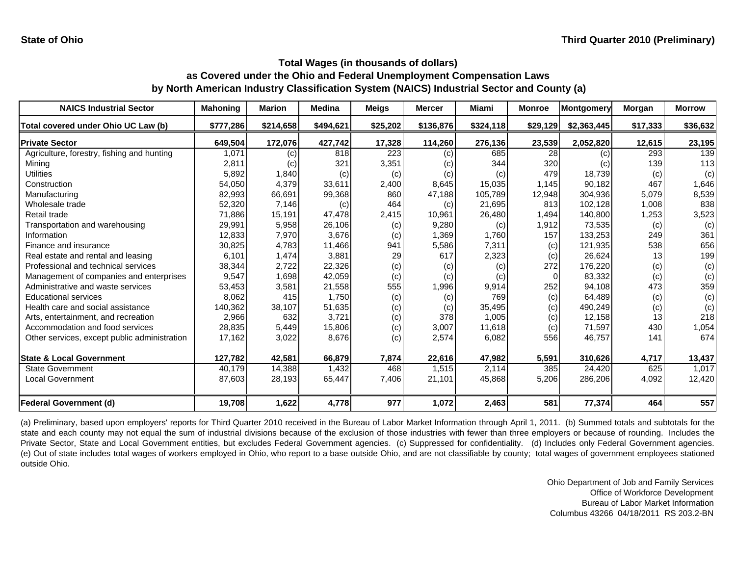| <b>NAICS Industrial Sector</b>               | <b>Mahoning</b> | <b>Marion</b> | <b>Medina</b> | <b>Meigs</b> | <b>Mercer</b> | <b>Miami</b> | <b>Monroe</b>   | <b>Montgomery</b> | Morgan   | <b>Morrow</b> |
|----------------------------------------------|-----------------|---------------|---------------|--------------|---------------|--------------|-----------------|-------------------|----------|---------------|
| Total covered under Ohio UC Law (b)          | \$777,286       | \$214,658     | \$494,621     | \$25,202     | \$136,876     | \$324,118    | \$29,129        | \$2,363,445       | \$17,333 | \$36,632      |
| <b>Private Sector</b>                        | 649,504         | 172,076       | 427,742       | 17,328       | 114,260       | 276,136      | 23,539          | 2,052,820         | 12,615   | 23,195        |
| Agriculture, forestry, fishing and hunting   | 1,071           | (c)           | 818           | 223          | (c)           | 685          | $\overline{28}$ | (c)               | 293      | 139           |
| Minina                                       | 2,811           | (c)           | 321           | 3,351        | (c)           | 344          | 320             | (c)               | 139      | 113           |
| Utilities                                    | 5,892           | 1,840         | (c)           | (c)          | (c)           | (c)          | 479             | 18,739            | (c)      | (c)           |
| Construction                                 | 54,050          | 4,379         | 33,611        | 2,400        | 8,645         | 15,035       | 1,145           | 90.182            | 467      | 1,646         |
| Manufacturing                                | 82,993          | 66,691        | 99,368        | 860          | 47,188        | 105,789      | 12,948          | 304.936           | 5,079    | 8,539         |
| Wholesale trade                              | 52,320          | 7,146         | (c)           | 464          | (c)           | 21,695       | 813             | 102,128           | 1,008    | 838           |
| Retail trade                                 | 71,886          | 15,191        | 47.478        | 2,415        | 10,961        | 26,480       | 1.494           | 140,800           | 1,253    | 3,523         |
| Transportation and warehousing               | 29,991          | 5,958         | 26,106        | (c)          | 9,280         | (c)          | 1,912           | 73,535            | (c)      | (c)           |
| Information                                  | 12,833          | 7,970         | 3,676         | (c)          | 1,369         | 1,760        | 157             | 133,253           | 249      | 361           |
| Finance and insurance                        | 30,825          | 4,783         | 11,466        | 941          | 5,586         | 7,311        | (c)             | 121,935           | 538      | 656           |
| Real estate and rental and leasing           | 6,101           | 1,474         | 3,881         | 29           | 617           | 2,323        | (c)             | 26,624            | 13       | 199           |
| Professional and technical services          | 38,344          | 2,722         | 22,326        | (c)          | (c)           | (c)          | 272             | 176,220           | (c)      | (c)           |
| Management of companies and enterprises      | 9,547           | 1,698         | 42,059        | (c)          | (c)           | (c)          |                 | 83,332            | (c)      | (c)           |
| Administrative and waste services            | 53,453          | 3,581         | 21,558        | 555          | 1,996         | 9,914        | 252             | 94,108            | 473      | 359           |
| <b>Educational services</b>                  | 8,062           | 415           | 1,750         | (c)          | (c)           | 769          | (c)             | 64,489            | (c)      | (c)           |
| Health care and social assistance            | 140,362         | 38,107        | 51,635        | (c)          | (c)           | 35,495       | (c)             | 490,249           | (c)      | (c)           |
| Arts, entertainment, and recreation          | 2,966           | 632           | 3,721         | (c)          | 378           | 1,005        | (c)             | 12,158            | 13       | 218           |
| Accommodation and food services              | 28,835          | 5,449         | 15,806        | (c)          | 3,007         | 11,618       | (c)             | 71,597            | 430      | 1,054         |
| Other services, except public administration | 17,162          | 3,022         | 8,676         | (c)          | 2,574         | 6,082        | 556             | 46,757            | 141      | 674           |
| <b>State &amp; Local Government</b>          | 127,782         | 42,581        | 66,879        | 7,874        | 22,616        | 47,982       | 5,591           | 310,626           | 4,717    | 13,437        |
| <b>State Government</b>                      | 40,179          | 14,388        | 1,432         | 468          | 1,515         | 2,114        | 385             | 24,420            | 625      | 1,017         |
| <b>Local Government</b>                      | 87,603          | 28,193        | 65,447        | 7,406        | 21,101        | 45,868       | 5,206           | 286,206           | 4,092    | 12,420        |
| <b>Federal Government (d)</b>                | 19,708          | 1,622         | 4,778         | 977          | 1,072         | 2,463        | 581             | 77,374            | 464      | 557           |

(a) Preliminary, based upon employers' reports for Third Quarter 2010 received in the Bureau of Labor Market Information through April 1, 2011. (b) Summed totals and subtotals for the state and each county may not equal the sum of industrial divisions because of the exclusion of those industries with fewer than three employers or because of rounding. Includes the Private Sector, State and Local Government entities, but excludes Federal Government agencies. (c) Suppressed for confidentiality. (d) Includes only Federal Government agencies. (e) Out of state includes total wages of workers employed in Ohio, who report to <sup>a</sup> base outside Ohio, and are not classifiable by county; total wages of government employees stationed outside Ohio.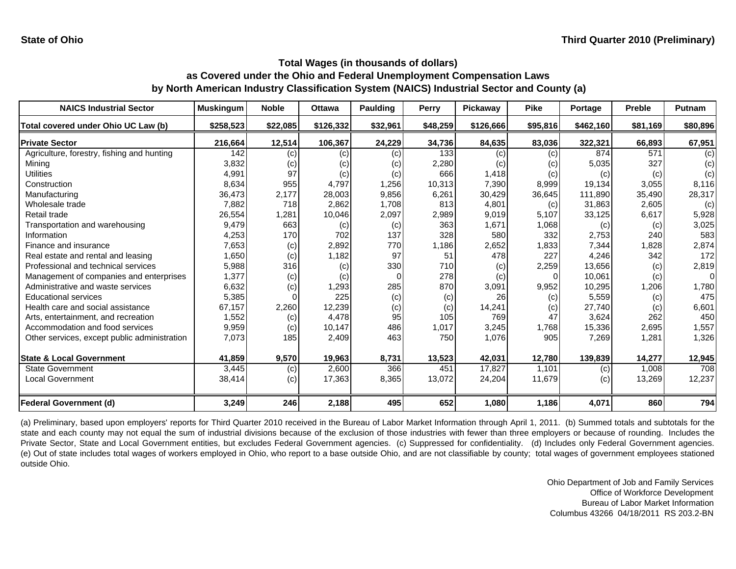| <b>NAICS Industrial Sector</b>               | <b>Muskingum</b> | <b>Noble</b> | <b>Ottawa</b> | <b>Paulding</b> | Perry    | Pickaway  | <b>Pike</b> | Portage   | <b>Preble</b> | <b>Putnam</b> |
|----------------------------------------------|------------------|--------------|---------------|-----------------|----------|-----------|-------------|-----------|---------------|---------------|
| Total covered under Ohio UC Law (b)          | \$258,523        | \$22,085     | \$126,332     | \$32,961        | \$48,259 | \$126,666 | \$95,816    | \$462,160 | \$81,169      | \$80,896      |
| <b>Private Sector</b>                        | 216,664          | 12,514       | 106,367       | 24,229          | 34,736   | 84,635    | 83,036      | 322,321   | 66,893        | 67,951        |
| Agriculture, forestry, fishing and hunting   | 142              | (c)          | (c)           | (c)             | 133      | (c)       | (c)         | 874       | 571           | (c)           |
| Minina                                       | 3,832            | (c)          | (c)           | (c)             | 2,280    | (C)       | (c)         | 5,035     | 327           | (c)           |
| Utilities                                    | 4,991            | 97           | (c)           | (c)             | 666      | 1,418     | (c)         | (c)       | (c)           | (c)           |
| Construction                                 | 8,634            | 955          | 4,797         | 1,256           | 10,313   | 7,390     | 8,999       | 19,134    | 3,055         | 8,116         |
| Manufacturing                                | 36,473           | 2,177        | 28,003        | 9,856           | 6,261    | 30,429    | 36,645      | 111,890   | 35,490        | 28,317        |
| Wholesale trade                              | 7,882            | 718          | 2,862         | 1,708           | 813      | 4,801     | (c)         | 31,863    | 2,605         | (c)           |
| Retail trade                                 | 26,554           | 1,281        | 10,046        | 2,097           | 2,989    | 9,019     | 5,107       | 33,125    | 6,617         | 5,928         |
| Transportation and warehousing               | 9,479            | 663          | (c)           | (c)             | 363      | 1,671     | 1,068       | (c)       | (c)           | 3,025         |
| Information                                  | 4,253            | 170          | 702           | 137             | 328      | 580       | 332         | 2,753     | 240           | 583           |
| Finance and insurance                        | 7,653            | (c)          | 2,892         | 770             | 1,186    | 2,652     | 1,833       | 7,344     | 1,828         | 2,874         |
| Real estate and rental and leasing           | 1,650            | (c)          | 1,182         | 97              | 51       | 478       | 227         | 4,246     | 342           | 172           |
| Professional and technical services          | 5,988            | 316          | (c)           | 330             | 710      | (c)       | 2,259       | 13,656    | (c)           | 2,819         |
| Management of companies and enterprises      | 1,377            | (c)          | (c)           |                 | 278      | (c)       | 0           | 10,061    | (c)           | $\Omega$      |
| Administrative and waste services            | 6,632            | (c)          | 1,293         | 285             | 870      | 3,091     | 9,952       | 10,295    | 1,206         | 1,780         |
| <b>Educational services</b>                  | 5,385            |              | 225           | (c)             | (c)      | 26        | (c)         | 5,559     | (c)           | 475           |
| Health care and social assistance            | 67,157           | 2,260        | 12,239        | (c)             | (c)      | 14,241    | (c)         | 27,740    | (c)           | 6,601         |
| Arts, entertainment, and recreation          | 1,552            | (c)          | 4,478         | 95              | 105      | 769       | 47          | 3,624     | 262           | 450           |
| Accommodation and food services              | 9,959            | (c)          | 10,147        | 486             | 1,017    | 3,245     | 1,768       | 15,336    | 2,695         | 1,557         |
| Other services, except public administration | 7,073            | 185          | 2,409         | 463             | 750      | 1,076     | 905         | 7,269     | 1,281         | 1,326         |
| <b>State &amp; Local Government</b>          | 41,859           | 9,570        | 19,963        | 8,731           | 13,523   | 42,031    | 12,780      | 139,839   | 14,277        | 12,945        |
| <b>State Government</b>                      | 3,445            | (c)          | 2,600         | 366             | 451      | 17,827    | 1.101       | (c)       | 1,008         | 708           |
| <b>Local Government</b>                      | 38,414           | (c)          | 17,363        | 8,365           | 13,072   | 24,204    | 11,679      | (c)       | 13,269        | 12,237        |
| <b>Federal Government (d)</b>                | 3,249            | 246          | 2,188         | 495             | 652      | 1,080     | 1,186       | 4,071     | 860           | 794           |

(a) Preliminary, based upon employers' reports for Third Quarter 2010 received in the Bureau of Labor Market Information through April 1, 2011. (b) Summed totals and subtotals for the state and each county may not equal the sum of industrial divisions because of the exclusion of those industries with fewer than three employers or because of rounding. Includes the Private Sector, State and Local Government entities, but excludes Federal Government agencies. (c) Suppressed for confidentiality. (d) Includes only Federal Government agencies. (e) Out of state includes total wages of workers employed in Ohio, who report to <sup>a</sup> base outside Ohio, and are not classifiable by county; total wages of government employees stationed outside Ohio.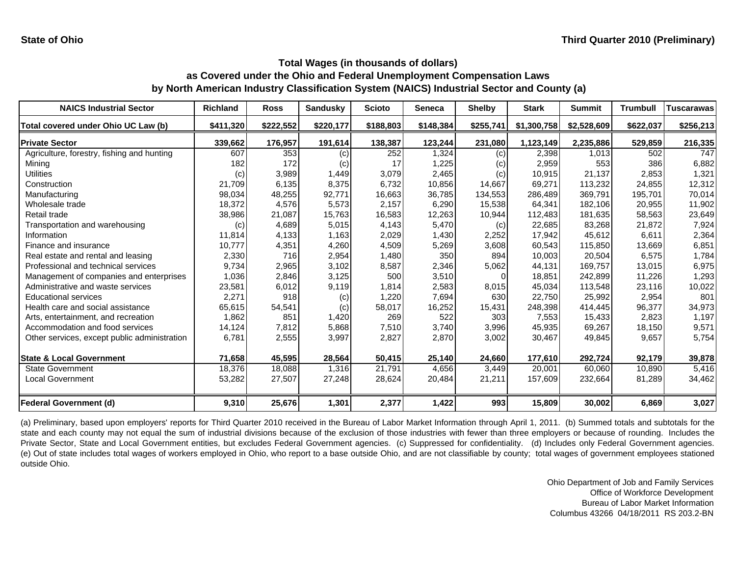| <b>NAICS Industrial Sector</b>               | <b>Richland</b> | <b>Ross</b> | <b>Sandusky</b> | <b>Scioto</b> | <b>Seneca</b> | <b>Shelby</b> | <b>Stark</b> | <b>Summit</b> | <b>Trumbull</b> | <b>Tuscarawas</b> |
|----------------------------------------------|-----------------|-------------|-----------------|---------------|---------------|---------------|--------------|---------------|-----------------|-------------------|
| Total covered under Ohio UC Law (b)          | \$411,320       | \$222,552   | \$220,177       | \$188,803     | \$148,384     | \$255,741     | \$1,300,758  | \$2,528,609   | \$622,037       | \$256,213         |
| <b>Private Sector</b>                        | 339,662         | 176,957     | 191,614         | 138,387       | 123,244       | 231,080       | 1,123,149    | 2,235,886     | 529,859         | 216,335           |
| Agriculture, forestry, fishing and hunting   | 607             | 353         | (c)             | 252           | 1,324         | (c)           | 2,398        | 1,013         | 502             | 747               |
| Mining                                       | 182             | 172         | (c)             | 17            | 1,225         | (c)           | 2,959        | 553           | 386             | 6,882             |
| Utilities                                    | (c)             | 3,989       | 1,449           | 3,079         | 2,465         | (c)           | 10,915       | 21,137        | 2,853           | 1,321             |
| Construction                                 | 21,709          | 6,135       | 8,375           | 6,732         | 10,856        | 14,667        | 69,271       | 113,232       | 24.855          | 12,312            |
| Manufacturing                                | 98,034          | 48,255      | 92,771          | 16,663        | 36,785        | 134,553       | 286.489      | 369,791       | 195,701         | 70,014            |
| Wholesale trade                              | 18,372          | 4,576       | 5,573           | 2,157         | 6,290         | 15,538        | 64.341       | 182.106       | 20.955          | 11,902            |
| Retail trade                                 | 38,986          | 21,087      | 15,763          | 16,583        | 12,263        | 10,944        | 112,483      | 181,635       | 58,563          | 23,649            |
| Transportation and warehousing               | (c)             | 4,689       | 5,015           | 4,143         | 5,470         | (c)           | 22,685       | 83,268        | 21,872          | 7,924             |
| Information                                  | 11,814          | 4,133       | 1,163           | 2,029         | 1,430         | 2,252         | 17,942       | 45,612        | 6,611           | 2,364             |
| Finance and insurance                        | 10,777          | 4,351       | 4,260           | 4,509         | 5,269         | 3,608         | 60,543       | 115,850       | 13,669          | 6,851             |
| Real estate and rental and leasing           | 2,330           | 716         | 2,954           | 1,480         | 350           | 894           | 10,003       | 20,504        | 6,575           | 1,784             |
| Professional and technical services          | 9,734           | 2,965       | 3,102           | 8,587         | 2,346         | 5,062         | 44,131       | 169,757       | 13,015          | 6,975             |
| Management of companies and enterprises      | 1,036           | 2,846       | 3,125           | 500           | 3,510         | $\Omega$      | 18.851       | 242.899       | 11.226          | 1,293             |
| Administrative and waste services            | 23,581          | 6,012       | 9,119           | 1,814         | 2,583         | 8,015         | 45,034       | 113,548       | 23,116          | 10,022            |
| <b>Educational services</b>                  | 2,271           | 918         | (c)             | 1,220         | 7,694         | 630           | 22,750       | 25,992        | 2,954           | 801               |
| Health care and social assistance            | 65,615          | 54,541      | (c)             | 58,017        | 16,252        | 15,431        | 248,398      | 414,445       | 96,377          | 34,973            |
| Arts, entertainment, and recreation          | 1,862           | 851         | 1,420           | 269           | 522           | 303           | 7,553        | 15,433        | 2,823           | 1,197             |
| Accommodation and food services              | 14,124          | 7,812       | 5,868           | 7,510         | 3,740         | 3,996         | 45,935       | 69,267        | 18,150          | 9,571             |
| Other services, except public administration | 6,781           | 2,555       | 3,997           | 2,827         | 2,870         | 3,002         | 30,467       | 49,845        | 9,657           | 5,754             |
| <b>State &amp; Local Government</b>          | 71,658          | 45,595      | 28,564          | 50,415        | 25,140        | 24,660        | 177,610      | 292,724       | 92,179          | 39,878            |
| <b>State Government</b>                      | 18,376          | 18,088      | 1,316           | 21,791        | 4,656         | 3,449         | 20,001       | 60,060        | 10,890          | 5,416             |
| <b>Local Government</b>                      | 53,282          | 27,507      | 27,248          | 28,624        | 20,484        | 21,211        | 157,609      | 232,664       | 81,289          | 34,462            |
| <b>Federal Government (d)</b>                | 9,310           | 25,676      | 1,301           | 2,377         | 1,422         | 993           | 15,809       | 30,002        | 6,869           | 3,027             |

(a) Preliminary, based upon employers' reports for Third Quarter 2010 received in the Bureau of Labor Market Information through April 1, 2011. (b) Summed totals and subtotals for the state and each county may not equal the sum of industrial divisions because of the exclusion of those industries with fewer than three employers or because of rounding. Includes the Private Sector, State and Local Government entities, but excludes Federal Government agencies. (c) Suppressed for confidentiality. (d) Includes only Federal Government agencies. (e) Out of state includes total wages of workers employed in Ohio, who report to <sup>a</sup> base outside Ohio, and are not classifiable by county; total wages of government employees stationed outside Ohio.